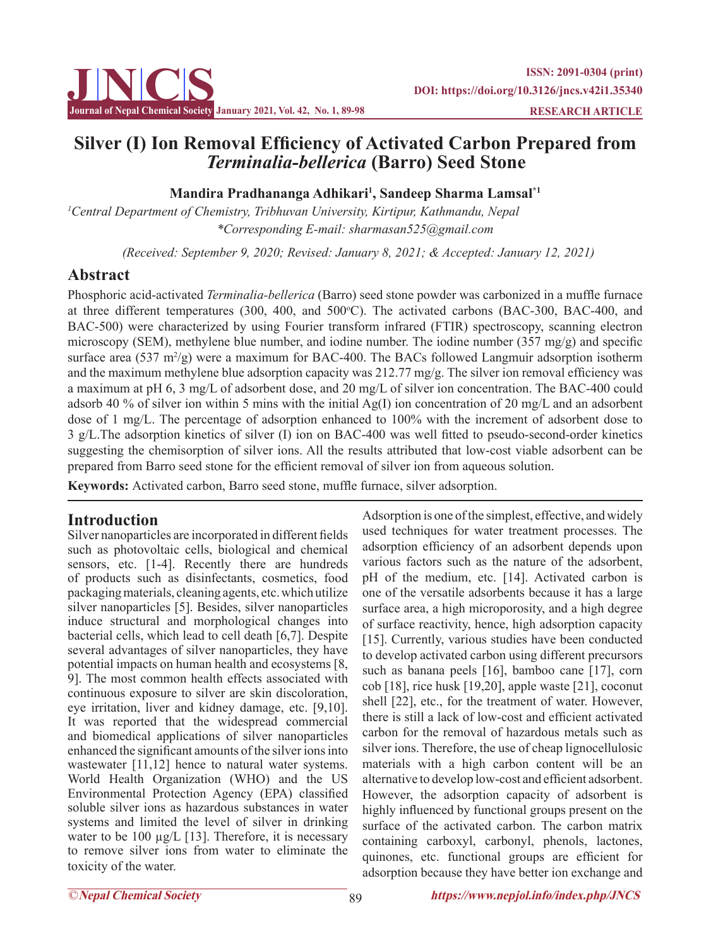

# **Silver (I) Ion Removal Efficiency of Activated Carbon Prepared from**  *Terminalia-bellerica* **(Barro) Seed Stone**

## **Mandira Pradhananga Adhikari<sup>1</sup> , Sandeep Sharma Lamsal\*1**

*1 Central Department of Chemistry, Tribhuvan University, Kirtipur, Kathmandu, Nepal \*Corresponding E-mail: sharmasan525@gmail.com*

 *(Received: September 9, 2020; Revised: January 8, 2021; & Accepted: January 12, 2021)*

## **Abstract**

Phosphoric acid-activated *Terminalia-bellerica* (Barro) seed stone powder was carbonized in a muffle furnace at three different temperatures (300, 400, and 500°C). The activated carbons (BAC-300, BAC-400, and BAC-500) were characterized by using Fourier transform infrared (FTIR) spectroscopy, scanning electron microscopy (SEM), methylene blue number, and iodine number. The iodine number (357 mg/g) and specific surface area (537 m<sup>2</sup>/g) were a maximum for BAC-400. The BACs followed Langmuir adsorption isotherm and the maximum methylene blue adsorption capacity was 212.77 mg/g. The silver ion removal efficiency was a maximum at pH 6, 3 mg/L of adsorbent dose, and 20 mg/L of silver ion concentration. The BAC-400 could adsorb 40 % of silver ion within 5 mins with the initial Ag(I) ion concentration of 20 mg/L and an adsorbent dose of 1 mg/L. The percentage of adsorption enhanced to 100% with the increment of adsorbent dose to 3 g/L.The adsorption kinetics of silver (I) ion on BAC-400 was well fitted to pseudo-second-order kinetics suggesting the chemisorption of silver ions. All the results attributed that low-cost viable adsorbent can be prepared from Barro seed stone for the efficient removal of silver ion from aqueous solution.

**Keywords:** Activated carbon, Barro seed stone, muffle furnace, silver adsorption.

## **Introduction**

Silver nanoparticles are incorporated in different fields such as photovoltaic cells, biological and chemical sensors, etc. [1-4]. Recently there are hundreds of products such as disinfectants, cosmetics, food packaging materials, cleaning agents, etc. which utilize silver nanoparticles [5]. Besides, silver nanoparticles induce structural and morphological changes into bacterial cells, which lead to cell death [6,7]. Despite several advantages of silver nanoparticles, they have potential impacts on human health and ecosystems [8, 9]. The most common health effects associated with continuous exposure to silver are skin discoloration, eye irritation, liver and kidney damage, etc. [9,10]. It was reported that the widespread commercial and biomedical applications of silver nanoparticles enhanced the significant amounts of the silver ions into wastewater [11,12] hence to natural water systems. World Health Organization (WHO) and the US Environmental Protection Agency (EPA) classified soluble silver ions as hazardous substances in water systems and limited the level of silver in drinking water to be 100 μg/L [13]. Therefore, it is necessary to remove silver ions from water to eliminate the toxicity of the water.

Adsorption is one of the simplest, effective, and widely used techniques for water treatment processes. The adsorption efficiency of an adsorbent depends upon various factors such as the nature of the adsorbent, pH of the medium, etc. [14]. Activated carbon is one of the versatile adsorbents because it has a large surface area, a high microporosity, and a high degree of surface reactivity, hence, high adsorption capacity [15]. Currently, various studies have been conducted to develop activated carbon using different precursors such as banana peels [16], bamboo cane [17], corn cob [18], rice husk [19,20], apple waste [21], coconut shell [22], etc., for the treatment of water. However, there is still a lack of low-cost and efficient activated carbon for the removal of hazardous metals such as silver ions. Therefore, the use of cheap lignocellulosic materials with a high carbon content will be an alternative to develop low-cost and efficient adsorbent. However, the adsorption capacity of adsorbent is highly influenced by functional groups present on the surface of the activated carbon. The carbon matrix containing carboxyl, carbonyl, phenols, lactones, quinones, etc. functional groups are efficient for adsorption because they have better ion exchange and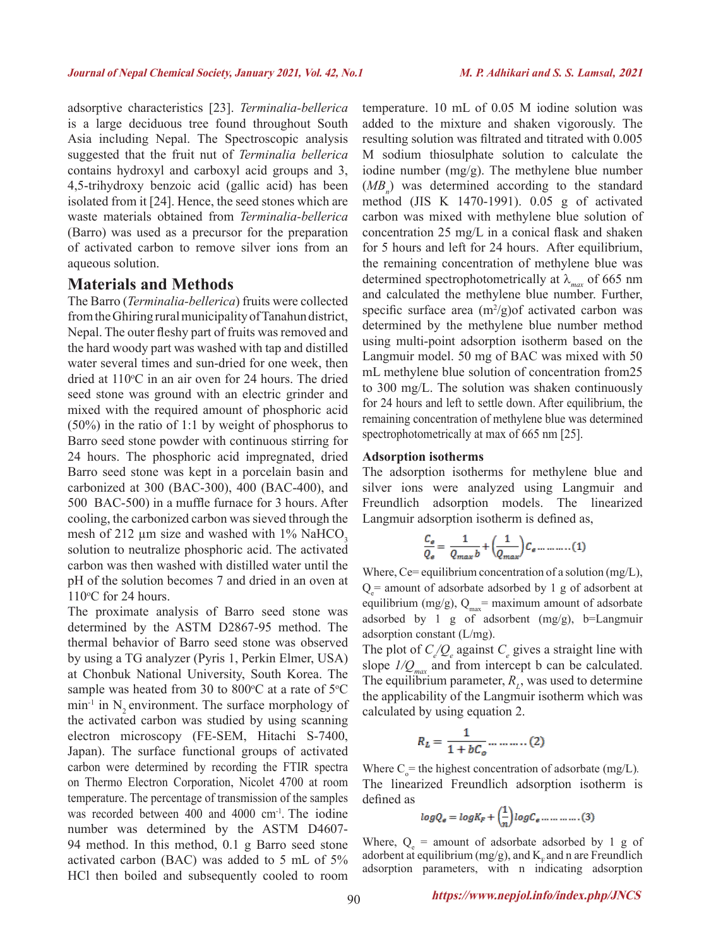adsorptive characteristics [23]. *Terminalia-bellerica*  is a large deciduous tree found throughout South Asia including Nepal. The Spectroscopic analysis suggested that the fruit nut of *Terminalia bellerica* contains hydroxyl and carboxyl acid groups and 3, 4,5-trihydroxy benzoic acid (gallic acid) has been isolated from it [24]. Hence, the seed stones which are waste materials obtained from *Terminalia-bellerica* (Barro) was used as a precursor for the preparation of activated carbon to remove silver ions from an aqueous solution.

#### **Materials and Methods**

The Barro (*Terminalia-bellerica*) fruits were collected from the Ghiring rural municipality of Tanahun district, Nepal. The outer fleshy part of fruits was removed and the hard woody part was washed with tap and distilled water several times and sun-dried for one week, then dried at 110°C in an air oven for 24 hours. The dried seed stone was ground with an electric grinder and mixed with the required amount of phosphoric acid (50%) in the ratio of 1:1 by weight of phosphorus to Barro seed stone powder with continuous stirring for 24 hours. The phosphoric acid impregnated, dried Barro seed stone was kept in a porcelain basin and carbonized at 300 (BAC-300), 400 (BAC-400), and 500 BAC-500) in a muffle furnace for 3 hours. After cooling, the carbonized carbon was sieved through the mesh of 212  $\mu$ m size and washed with 1% NaHCO<sub>3</sub> solution to neutralize phosphoric acid. The activated carbon was then washed with distilled water until the pH of the solution becomes 7 and dried in an oven at  $110^{\circ}$ C for 24 hours.

The proximate analysis of Barro seed stone was determined by the ASTM D2867-95 method. The thermal behavior of Barro seed stone was observed by using a TG analyzer (Pyris 1, Perkin Elmer, USA) at Chonbuk National University, South Korea. The sample was heated from 30 to 800 $\degree$ C at a rate of 5 $\degree$ C  $min^{-1}$  in N<sub>2</sub> environment. The surface morphology of the activated carbon was studied by using scanning electron microscopy (FE-SEM, Hitachi S-7400, Japan). The surface functional groups of activated carbon were determined by recording the FTIR spectra on Thermo Electron Corporation, Nicolet 4700 at room temperature. The percentage of transmission of the samples was recorded between 400 and 4000 cm<sup>-1</sup>. The iodine number was determined by the ASTM D4607- 94 method. In this method, 0.1 g Barro seed stone activated carbon (BAC) was added to 5 mL of 5% HCl then boiled and subsequently cooled to room

temperature. 10 mL of 0.05 M iodine solution was added to the mixture and shaken vigorously. The resulting solution was filtrated and titrated with 0.005 M sodium thiosulphate solution to calculate the iodine number (mg/g). The methylene blue number  $(MB_n)$  was determined according to the standard method (JIS K 1470-1991). 0.05 g of activated carbon was mixed with methylene blue solution of concentration 25 mg/L in a conical flask and shaken for 5 hours and left for 24 hours. After equilibrium, the remaining concentration of methylene blue was determined spectrophotometrically at λ*max* of 665 nm and calculated the methylene blue number. Further, specific surface area  $(m^2/g)$  of activated carbon was determined by the methylene blue number method using multi-point adsorption isotherm based on the Langmuir model. 50 mg of BAC was mixed with 50 mL methylene blue solution of concentration from25 to 300 mg/L. The solution was shaken continuously for 24 hours and left to settle down. After equilibrium, the remaining concentration of methylene blue was determined spectrophotometrically at max of 665 nm [25].

#### **Adsorption isotherms**

The adsorption isotherms for methylene blue and silver ions were analyzed using Langmuir and Freundlich adsorption models. The linearized Langmuir adsorption isotherm is defined as,

$$
\frac{C_e}{Q_e} = \frac{1}{Q_{max}b} + \left(\frac{1}{Q_{max}}\right)C_e \dots \dots \dots (1)
$$

Where,  $Ce=$  equilibrium concentration of a solution (mg/L),  $Q_e$  = amount of adsorbate adsorbed by 1 g of adsorbent at equilibrium (mg/g),  $Q_{max}$ = maximum amount of adsorbate adsorbed by 1 g of adsorbent (mg/g), b=Langmuir adsorption constant (L/mg).

The plot of  $C_{e}/Q_{e}$  against  $C_{e}$  gives a straight line with slope  $I/Q_{\text{max}}$  and from intercept b can be calculated. The equilibrium parameter,  $R_L$ , was used to determine the applicability of the Langmuir isotherm which was calculated by using equation 2.

$$
R_L = \frac{1}{1 + bC_o} \dots \dots \dots (2)
$$

Where  $C_0$  = the highest concentration of adsorbate (mg/L). The linearized Freundlich adsorption isotherm is defined as

$$
log Q_{\epsilon} = log K_{F} + \left(\frac{1}{n}\right) log C_{\epsilon} \dots \dots \dots \dots (3)
$$

Where,  $Q_e$  = amount of adsorbate adsorbed by 1 g of adorbent at equilibrium (mg/g), and  $K<sub>F</sub>$  and n are Freundlich adsorption parameters, with n indicating adsorption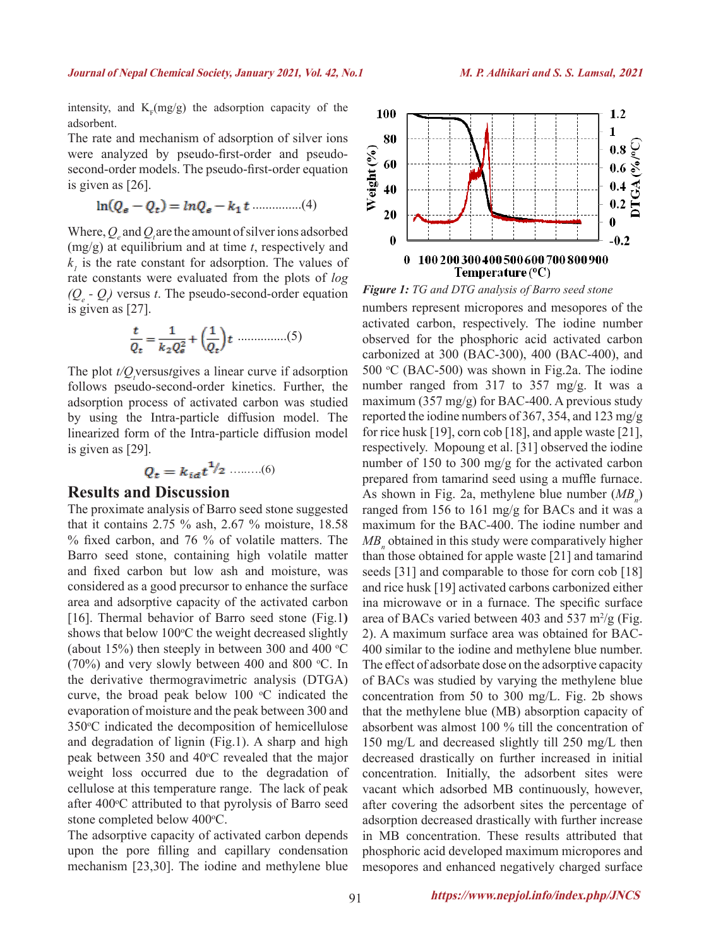intensity, and  $K_F(mg/g)$  the adsorption capacity of the adsorbent.

The rate and mechanism of adsorption of silver ions were analyzed by pseudo-first-order and pseudosecond-order models. The pseudo-first-order equation is given as [26].

$$
\ln(Q_e - Q_t) = \ln Q_e - k_1 t \dots (4)
$$

Where,  $Q_e$  and  $Q_i$  are the amount of silver ions adsorbed (mg/g) at equilibrium and at time *t*, respectively and  $k<sub>l</sub>$  is the rate constant for adsorption. The values of rate constants were evaluated from the plots of *log*   $(Q_e - Q)$  versus *t*. The pseudo-second-order equation is given as [27].

$$
\frac{t}{Q_t} = \frac{1}{k_2 Q_s^2} + \left(\frac{1}{Q_t}\right)t \dots \dots \dots \dots (5)
$$

The plot  $t/Q_i$  versus *t*gives a linear curve if adsorption follows pseudo-second-order kinetics. Further, the adsorption process of activated carbon was studied by using the Intra-particle diffusion model. The linearized form of the Intra-particle diffusion model is given as [29].

$$
Q_t = k_{id}t^{\mathbf{1}_{\ell}} \qquad (6)
$$

#### **Results and Discussion**

The proximate analysis of Barro seed stone suggested that it contains 2.75 % ash, 2.67 % moisture, 18.58 % fixed carbon, and 76 % of volatile matters. The Barro seed stone, containing high volatile matter and fixed carbon but low ash and moisture, was considered as a good precursor to enhance the surface area and adsorptive capacity of the activated carbon [16]. Thermal behavior of Barro seed stone (Fig.1**)**  shows that below 100°C the weight decreased slightly (about 15%) then steeply in between 300 and 400  $\degree$ C (70%) and very slowly between 400 and 800  $\degree$ C. In the derivative thermogravimetric analysis (DTGA) curve, the broad peak below  $100 \degree C$  indicated the evaporation of moisture and the peak between 300 and 350°C indicated the decomposition of hemicellulose and degradation of lignin (Fig.1). A sharp and high peak between  $350$  and  $40^{\circ}$ C revealed that the major weight loss occurred due to the degradation of cellulose at this temperature range. The lack of peak after 400°C attributed to that pyrolysis of Barro seed stone completed below 400°C.

The adsorptive capacity of activated carbon depends upon the pore filling and capillary condensation mechanism [23,30]. The iodine and methylene blue



*Figure 1: TG and DTG analysis of Barro seed stone*

numbers represent micropores and mesopores of the activated carbon, respectively. The iodine number observed for the phosphoric acid activated carbon carbonized at 300 (BAC-300), 400 (BAC-400), and 500 °C (BAC-500) was shown in Fig.2a. The iodine number ranged from 317 to 357 mg/g. It was a maximum  $(357 \text{ mg/g})$  for BAC-400. A previous study reported the iodine numbers of 367, 354, and 123 mg/g for rice husk [19], corn cob [18], and apple waste [21], respectively. Mopoung et al. [31] observed the iodine number of 150 to 300 mg/g for the activated carbon prepared from tamarind seed using a muffle furnace. As shown in Fig. 2a, methylene blue number  $(MB_n)$ ranged from 156 to 161 mg/g for BACs and it was a maximum for the BAC-400. The iodine number and  $MB$ <sub>n</sub> obtained in this study were comparatively higher than those obtained for apple waste [21] and tamarind seeds [31] and comparable to those for corn cob [18] and rice husk [19] activated carbons carbonized either ina microwave or in a furnace. The specific surface area of BACs varied between 403 and 537 m<sup>2</sup>/g (Fig. 2). A maximum surface area was obtained for BAC-400 similar to the iodine and methylene blue number. The effect of adsorbate dose on the adsorptive capacity of BACs was studied by varying the methylene blue concentration from 50 to 300 mg/L. Fig. 2b shows that the methylene blue (MB) absorption capacity of absorbent was almost 100 % till the concentration of 150 mg/L and decreased slightly till 250 mg/L then decreased drastically on further increased in initial concentration. Initially, the adsorbent sites were vacant which adsorbed MB continuously, however, after covering the adsorbent sites the percentage of adsorption decreased drastically with further increase in MB concentration. These results attributed that phosphoric acid developed maximum micropores and mesopores and enhanced negatively charged surface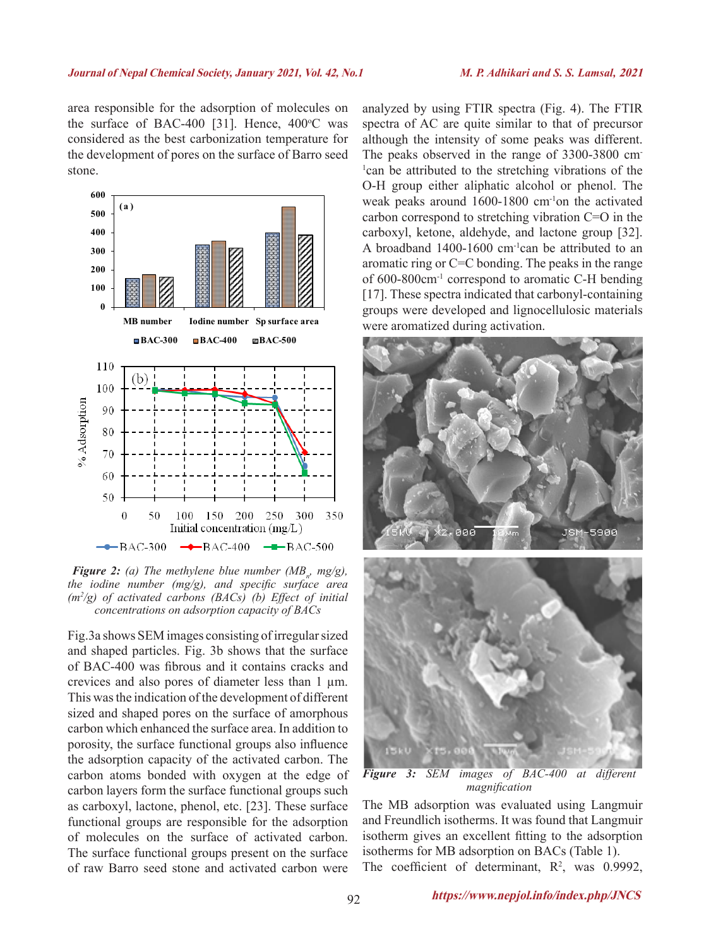area responsible for the adsorption of molecules on the surface of BAC-400 [31]. Hence,  $400^{\circ}$ C was considered as the best carbonization temperature for the development of pores on the surface of Barro seed stone.



*<i>Figure 2: (a)* The methylene blue number ( $MB_n$ , mg/g), *the iodine number (mg/g), and specific surface area (m2 /g) of activated carbons (BACs) (b) Effect of initial concentrations on adsorption capacity of BACs*

Fig.3a shows SEM images consisting of irregular sized and shaped particles. Fig. 3b shows that the surface of BAC-400 was fibrous and it contains cracks and crevices and also pores of diameter less than 1 µm. This was the indication of the development of different sized and shaped pores on the surface of amorphous carbon which enhanced the surface area. In addition to porosity, the surface functional groups also influence the adsorption capacity of the activated carbon. The carbon atoms bonded with oxygen at the edge of carbon layers form the surface functional groups such as carboxyl, lactone, phenol, etc. [23]. These surface functional groups are responsible for the adsorption of molecules on the surface of activated carbon. The surface functional groups present on the surface of raw Barro seed stone and activated carbon were

analyzed by using FTIR spectra (Fig. 4). The FTIR spectra of AC are quite similar to that of precursor although the intensity of some peaks was different. The peaks observed in the range of 3300-3800 cm-1 can be attributed to the stretching vibrations of the O-H group either aliphatic alcohol or phenol. The weak peaks around 1600-1800 cm-1on the activated carbon correspond to stretching vibration C=O in the carboxyl, ketone, aldehyde, and lactone group [32]. A broadband 1400-1600 cm-1can be attributed to an aromatic ring or C=C bonding. The peaks in the range of 600-800cm-1 correspond to aromatic C-H bending [17]. These spectra indicated that carbonyl-containing groups were developed and lignocellulosic materials were aromatized during activation.



*Figure 3: SEM images of BAC-400 at different magnification*

The MB adsorption was evaluated using Langmuir and Freundlich isotherms. It was found that Langmuir isotherm gives an excellent fitting to the adsorption isotherms for MB adsorption on BACs (Table 1). The coefficient of determinant,  $R^2$ , was 0.9992,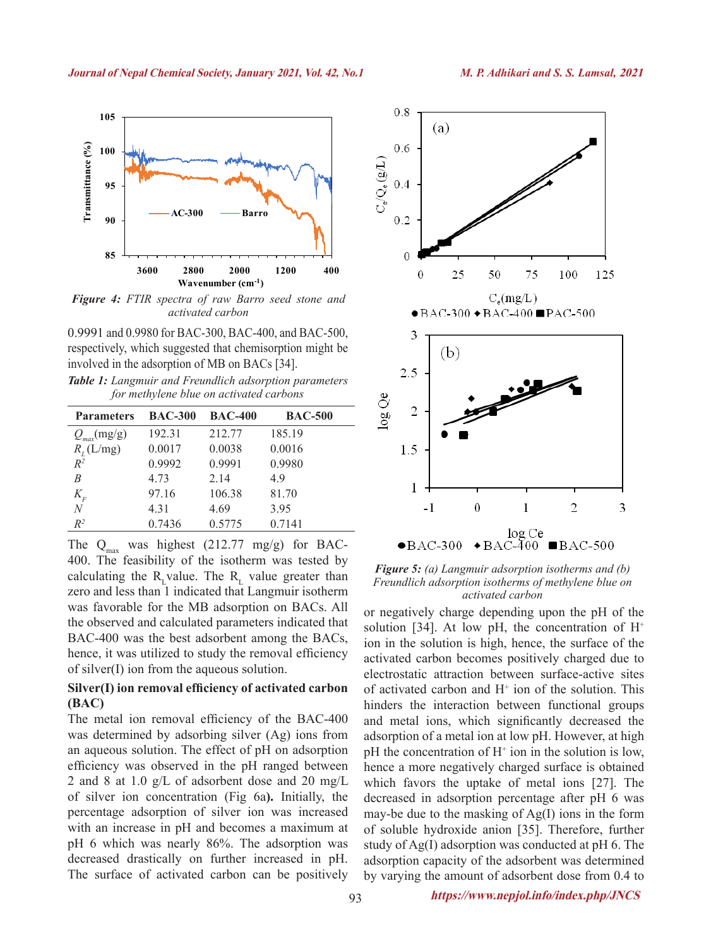

*Figure 4: FTIR spectra of raw Barro seed stone and activated carbon*

0.9991 and 0.9980 for BAC-300, BAC-400, and BAC-500, respectively, which suggested that chemisorption might be involved in the adsorption of MB on BACs [34].

| Table 1: Langmuir and Freundlich adsorption parameters |
|--------------------------------------------------------|
| for methylene blue on activated carbons                |

| <b>Parameters</b>          | <b>BAC-300</b> | <b>BAC-400</b> | <b>BAC-500</b> |
|----------------------------|----------------|----------------|----------------|
| $Q_{max}(mg/g)$            | 192.31         | 212.77         | 185.19         |
| $R_{I}$ (L/mg)             | 0.0017         | 0.0038         | 0.0016         |
| $R^2$                      | 0.9992         | 0.9991         | 0.9980         |
| R                          | 4.73           | 2.14           | 49             |
| $K_{\scriptscriptstyle F}$ | 97.16          | 106.38         | 81.70          |
| N                          | 4.31           | 4.69           | 395            |
| $R^2$                      | 0.7436         | 0.5775         | 0.7141         |

The  $Q_{\text{max}}$  was highest (212.77 mg/g) for BAC-400. The feasibility of the isotherm was tested by calculating the R<sub>L</sub> value. The R<sub>L</sub> value greater than zero and less than 1 indicated that Langmuir isotherm was favorable for the MB adsorption on BACs. All the observed and calculated parameters indicated that BAC-400 was the best adsorbent among the BACs, hence, it was utilized to study the removal efficiency of silver(I) ion from the aqueous solution.

#### **Silver(I) ion removal efficiency of activated carbon (BAC)**

The metal ion removal efficiency of the BAC-400 was determined by adsorbing silver (Ag) ions from an aqueous solution. The effect of pH on adsorption efficiency was observed in the pH ranged between 2 and 8 at 1.0 g/L of adsorbent dose and 20 mg/L of silver ion concentration (Fig 6a**).** Initially, the percentage adsorption of silver ion was increased with an increase in pH and becomes a maximum at pH 6 which was nearly 86%. The adsorption was decreased drastically on further increased in pH. The surface of activated carbon can be positively



*Figure 5: (a) Langmuir adsorption isotherms and (b) Freundlich adsorption isotherms of methylene blue on activated carbon*

or negatively charge depending upon the pH of the solution [34]. At low pH, the concentration of  $H^+$ ion in the solution is high, hence, the surface of the activated carbon becomes positively charged due to electrostatic attraction between surface-active sites of activated carbon and  $H^+$  ion of the solution. This hinders the interaction between functional groups and metal ions, which significantly decreased the adsorption of a metal ion at low pH. However, at high  $pH$  the concentration of  $H^+$  ion in the solution is low, hence a more negatively charged surface is obtained which favors the uptake of metal ions [27]. The decreased in adsorption percentage after pH 6 was may-be due to the masking of Ag(I) ions in the form of soluble hydroxide anion [35]. Therefore, further study of Ag(I) adsorption was conducted at pH 6. The adsorption capacity of the adsorbent was determined by varying the amount of adsorbent dose from 0.4 to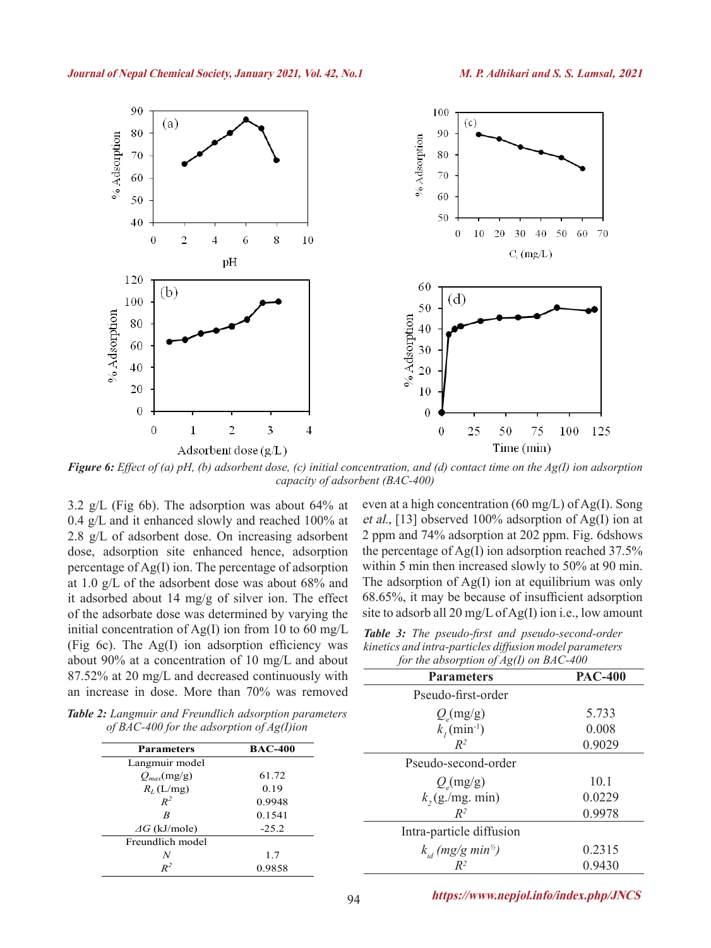

*Figure 6: Effect of (a) pH, (b) adsorbent dose, (c) initial concentration, and (d) contact time on the Ag(I) ion adsorption capacity of adsorbent (BAC-400)*

3.2 g/L (Fig 6b). The adsorption was about 64% at 0.4 g/L and it enhanced slowly and reached 100% at 2.8 g/L of adsorbent dose. On increasing adsorbent dose, adsorption site enhanced hence, adsorption percentage of Ag(I) ion. The percentage of adsorption at 1.0 g/L of the adsorbent dose was about 68% and it adsorbed about 14 mg/g of silver ion. The effect of the adsorbate dose was determined by varying the initial concentration of Ag(I) ion from 10 to 60 mg/L (Fig 6c). The Ag(I) ion adsorption efficiency was about 90% at a concentration of 10 mg/L and about 87.52% at 20 mg/L and decreased continuously with an increase in dose. More than  $70\%$  was

even at a high concentration (60 mg/L) of Ag(I). Song et al., [13] observed 100% adsorption of Ag(I) ion at 2 ppm and 74% adsorption at 202 ppm. Fig. 6dshows the percentage of Ag(I) ion adsorption reached 37.5% within 5 min then increased slowly to 50% at 90 min. The adsorption of  $Ag(I)$  ion at equilibrium was only 68.65%, it may be because of insufficient adsorption site to adsorb all 20 mg/L of Ag(I) ion i.e., low amount

|  | Table 3: The pseudo-first and pseudo-second-order       |  |
|--|---------------------------------------------------------|--|
|  | kinetics and intra-particles diffusion model parameters |  |
|  | for the absorption of $Ag(I)$ on BAC-400                |  |

| usly with | <b>Parameters</b>                   | <b>PAC-400</b> |
|-----------|-------------------------------------|----------------|
| removed   | Pseudo-first-order                  |                |
| arameters | $Q_{\rm e}$ (mg/g)                  | 5.733          |
| m         | $k_1$ (min <sup>-1</sup> )          | 0.008          |
|           | $R^2$                               | 0.9029         |
|           | Pseudo-second-order                 |                |
|           | $Q_{\rm e}$ (mg/g)                  | 10.1           |
|           | $k$ , (g./mg. min)                  | 0.0229         |
|           | $R^2$                               | 0.9978         |
|           | Intra-particle diffusion            |                |
|           | $k_{id}$ (mg/g min <sup>1/2</sup> ) | 0.2315         |
|           |                                     |                |

*Table 2: Langmuir and Freundlich adsorption parameters of BAC-400 for the adsorption of Ag(I)io* 

| <b>Parameters</b>    | <b>BAC-400</b> |
|----------------------|----------------|
| Langmuir model       |                |
| $Q_{max}(mg/g)$      | 61.72          |
| $R_L(L/mg)$          | 0.19           |
| $R^2$                | 0.9948         |
| B                    | 0.1541         |
| $\Delta G$ (kJ/mole) | $-25.2$        |
| Freundlich model     |                |
| N                    | 1.7            |
| $\mathbb{R}^2$       | 0.9858         |

94 **https://www.nepjol.info/index.php/JNCS**

*R2* 0.9430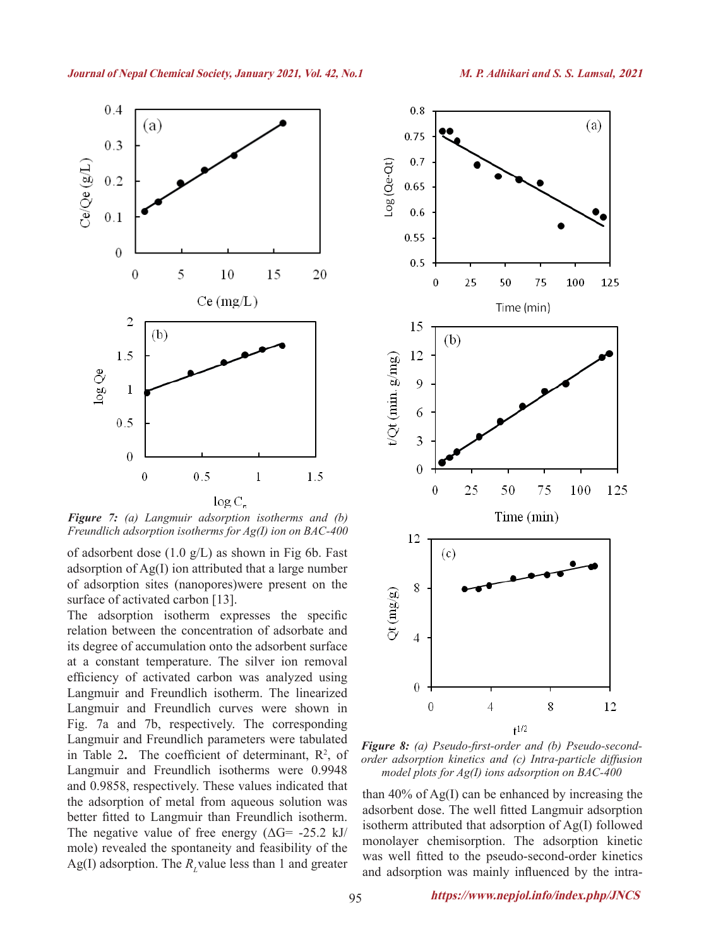

*Figure 7: (a) Langmuir adsorption isotherms and (b) Freundlich adsorption isotherms for Ag(I) ion on BAC-400*

of adsorbent dose  $(1.0 \text{ g/L})$  as shown in Fig 6b. Fast adsorption of Ag(I) ion attributed that a large number of adsorption sites (nanopores)were present on the surface of activated carbon [13].

The adsorption isotherm expresses the specific relation between the concentration of adsorbate and its degree of accumulation onto the adsorbent surface at a constant temperature. The silver ion removal efficiency of activated carbon was analyzed using Langmuir and Freundlich isotherm. The linearized Langmuir and Freundlich curves were shown in Fig. 7a and 7b, respectively. The corresponding Langmuir and Freundlich parameters were tabulated in Table 2. The coefficient of determinant,  $R^2$ , of Langmuir and Freundlich isotherms were 0.9948 and 0.9858, respectively. These values indicated that the adsorption of metal from aqueous solution was better fitted to Langmuir than Freundlich isotherm. The negative value of free energy  $(\Delta G = -25.2 \text{ kJ})$ mole) revealed the spontaneity and feasibility of the  $Ag(I)$  adsorption. The  $R_L$  value less than 1 and greater



*Figure 8: (a) Pseudo-first-order and (b) Pseudo-secondorder adsorption kinetics and (c) Intra-particle diffusion model plots for Ag(I) ions adsorption on BAC-400*

than 40% of Ag(I) can be enhanced by increasing the adsorbent dose. The well fitted Langmuir adsorption isotherm attributed that adsorption of Ag(I) followed monolayer chemisorption. The adsorption kinetic was well fitted to the pseudo-second-order kinetics and adsorption was mainly influenced by the intra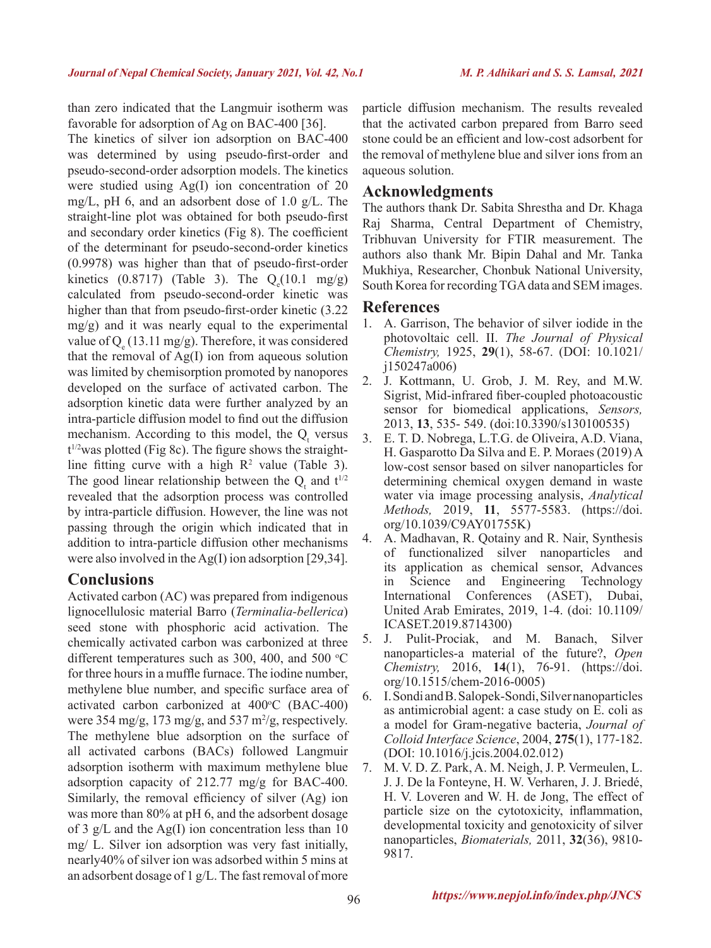than zero indicated that the Langmuir isotherm was favorable for adsorption of Ag on BAC-400 [36].

The kinetics of silver ion adsorption on BAC-400 was determined by using pseudo-first-order and pseudo-second-order adsorption models. The kinetics were studied using Ag(I) ion concentration of 20 mg/L, pH 6, and an adsorbent dose of 1.0 g/L. The straight-line plot was obtained for both pseudo-first and secondary order kinetics (Fig 8). The coefficient of the determinant for pseudo-second-order kinetics (0.9978) was higher than that of pseudo-first-order kinetics  $(0.8717)$  (Table 3). The  $Q_e(10.1 \text{ mg/g})$ calculated from pseudo-second-order kinetic was higher than that from pseudo-first-order kinetic (3.22) mg/g) and it was nearly equal to the experimental value of  $Q_e(13.11 \text{ mg/g})$ . Therefore, it was considered that the removal of Ag(I) ion from aqueous solution was limited by chemisorption promoted by nanopores developed on the surface of activated carbon. The adsorption kinetic data were further analyzed by an intra-particle diffusion model to find out the diffusion mechanism. According to this model, the  $Q_t$  versus t 1/2was plotted (Fig 8c). The figure shows the straightline fitting curve with a high  $R^2$  value (Table 3). The good linear relationship between the  $Q_t$  and  $t^{1/2}$ revealed that the adsorption process was controlled by intra-particle diffusion. However, the line was not passing through the origin which indicated that in addition to intra-particle diffusion other mechanisms were also involved in the Ag(I) ion adsorption [29,34].

### **Conclusions**

Activated carbon (AC) was prepared from indigenous lignocellulosic material Barro (*Terminalia-bellerica*) seed stone with phosphoric acid activation. The chemically activated carbon was carbonized at three different temperatures such as 300, 400, and 500  $\degree$ C for three hours in a muffle furnace. The iodine number, methylene blue number, and specific surface area of activated carbon carbonized at  $400^{\circ}$ C (BAC-400) were  $354 \text{ mg/g}, 173 \text{ mg/g}, \text{and } 537 \text{ m}^2/\text{g}, \text{respectively.}$ The methylene blue adsorption on the surface of all activated carbons (BACs) followed Langmuir adsorption isotherm with maximum methylene blue adsorption capacity of 212.77 mg/g for BAC-400. Similarly, the removal efficiency of silver (Ag) ion was more than 80% at pH 6, and the adsorbent dosage of 3 g/L and the Ag(I) ion concentration less than 10 mg/ L. Silver ion adsorption was very fast initially, nearly40% of silver ion was adsorbed within 5 mins at an adsorbent dosage of 1 g/L. The fast removal of more

particle diffusion mechanism. The results revealed that the activated carbon prepared from Barro seed stone could be an efficient and low-cost adsorbent for the removal of methylene blue and silver ions from an aqueous solution.

#### **Acknowledgments**

The authors thank Dr. Sabita Shrestha and Dr. Khaga Raj Sharma, Central Department of Chemistry, Tribhuvan University for FTIR measurement. The authors also thank Mr. Bipin Dahal and Mr. Tanka Mukhiya, Researcher, Chonbuk National University, South Korea for recording TGA data and SEM images.

### **References**

- 1. A. Garrison, The behavior of silver iodide in the photovoltaic cell. II. *The Journal of Physical Chemistry,* 1925, **29**(1), 58-67. (DOI: 10.1021/ j150247a006)
- 2. J. Kottmann, U. Grob, J. M. Rey, and M.W. Sigrist, Mid-infrared fiber-coupled photoacoustic sensor for biomedical applications, *Sensors,* 2013, **13**, 535- 549. (doi:10.3390/s130100535)
- 3. E. T. D. Nobrega, L.T.G. de Oliveira, A.D. Viana, H. Gasparotto Da Silva and E. P. Moraes (2019) A low-cost sensor based on silver nanoparticles for determining chemical oxygen demand in waste water via image processing analysis, *Analytical Methods,* 2019, **11**, 5577-5583. (https://doi. org/10.1039/C9AY01755K)
- 4. A. Madhavan, R. Qotainy and R. Nair, Synthesis of functionalized silver nanoparticles and its application as chemical sensor, Advances in Science and Engineering Technology International Conferences (ASET), Dubai, United Arab Emirates, 2019, 1-4. (doi: 10.1109/ ICASET.2019.8714300)
- 5. J. Pulit-Prociak, and M. Banach, Silver nanoparticles-a material of the future?, *Open Chemistry,* 2016, **14**(1), 76-91. (https://doi. org/10.1515/chem-2016-0005)
- 6. I. Sondi and B. Salopek-Sondi, Silver nanoparticles as antimicrobial agent: a case study on E. coli as a model for Gram-negative bacteria, *Journal of Colloid Interface Science*, 2004, **275**(1), 177-182. (DOI: 10.1016/j.jcis.2004.02.012)
- 7. M. V. D. Z. Park, A. M. Neigh, J. P. Vermeulen, L. J. J. De la Fonteyne, H. W. Verharen, J. J. Briedé, H. V. Loveren and W. H. de Jong, The effect of particle size on the cytotoxicity, inflammation, developmental toxicity and genotoxicity of silver nanoparticles, *Biomaterials,* 2011, **32**(36), 9810- 9817.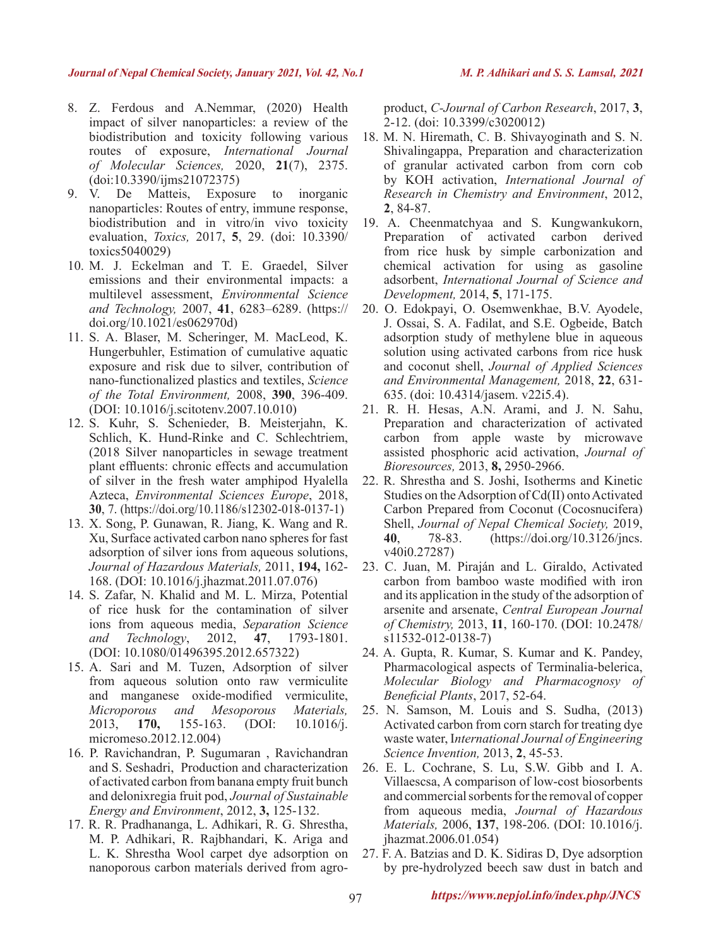- 8. Z. Ferdous and A.Nemmar, (2020) Health impact of silver nanoparticles: a review of the biodistribution and toxicity following various routes of exposure, *International Journal of Molecular Sciences,* 2020, **21**(7), 2375. (doi:10.3390/ijms21072375)
- 9. V. De Matteis, Exposure to inorganic nanoparticles: Routes of entry, immune response, biodistribution and in vitro/in vivo toxicity evaluation, *Toxics,* 2017, **5**, 29. (doi: 10.3390/ toxics5040029)
- 10. M. J. Eckelman and T. E. Graedel, Silver emissions and their environmental impacts: a multilevel assessment, *Environmental Science and Technology,* 2007, **41**, 6283–6289. (https:// doi.org/10.1021/es062970d)
- 11. S. A. Blaser, M. Scheringer, M. MacLeod, K. Hungerbuhler, Estimation of cumulative aquatic exposure and risk due to silver, contribution of nano-functionalized plastics and textiles, *Science of the Total Environment,* 2008, **390**, 396-409. (DOI: 10.1016/j.scitotenv.2007.10.010)
- 12. S. Kuhr, S. Schenieder, B. Meisterjahn, K. Schlich, K. Hund-Rinke and C. Schlechtriem, (2018 Silver nanoparticles in sewage treatment plant effluents: chronic effects and accumulation of silver in the fresh water amphipod Hyalella Azteca, *Environmental Sciences Europe*, 2018, **30**, 7. (https://doi.org/10.1186/s12302-018-0137-1)
- 13. X. Song, P. Gunawan, R. Jiang, K. Wang and R. Xu, Surface activated carbon nano spheres for fast adsorption of silver ions from aqueous solutions, *Journal of Hazardous Materials,* 2011, **194,** 162- 168. (DOI: 10.1016/j.jhazmat.2011.07.076)
- 14. S. Zafar, N. Khalid and M. L. Mirza, Potential of rice husk for the contamination of silver ions from aqueous media, *Separation Science and Technology*, 2012, **47**, 1793-1801. (DOI: 10.1080/01496395.2012.657322)
- 15. A. Sari and M. Tuzen, Adsorption of silver from aqueous solution onto raw vermiculite and manganese oxide-modified vermiculite, *Microporous and Mesoporous Materials,* 2013, **170,** 155-163. (DOI: 10.1016/j. micromeso.2012.12.004)
- 16. P. Ravichandran, P. Sugumaran , Ravichandran and S. Seshadri, Production and characterization of activated carbon from banana empty fruit bunch and delonixregia fruit pod, *Journal of Sustainable Energy and Environment*, 2012, **3,** 125-132.
- 17. R. R. Pradhananga, L. Adhikari, R. G. Shrestha, M. P. Adhikari, R. Rajbhandari, K. Ariga and L. K. Shrestha Wool carpet dye adsorption on nanoporous carbon materials derived from agro-

product, *C-Journal of Carbon Research*, 2017, **3**, 2-12. (doi: 10.3399/c3020012)

- 18. M. N. Hiremath, C. B. Shivayoginath and S. N. Shivalingappa, Preparation and characterization of granular activated carbon from corn cob by KOH activation, *International Journal of Research in Chemistry and Environment*, 2012, **2**, 84-87.
- 19. A. Cheenmatchyaa and S. Kungwankukorn, Preparation of activated carbon derived from rice husk by simple carbonization and chemical activation for using as gasoline adsorbent, *International Journal of Science and Development,* 2014, **5**, 171-175.
- 20. O. Edokpayi, O. Osemwenkhae, B.V. Ayodele, J. Ossai, S. A. Fadilat, and S.E. Ogbeide, Batch adsorption study of methylene blue in aqueous solution using activated carbons from rice husk and coconut shell, *Journal of Applied Sciences and Environmental Management,* 2018, **22**, 631- 635. (doi: 10.4314/jasem. v22i5.4).
- 21. R. H. Hesas, A.N. Arami, and J. N. Sahu, Preparation and characterization of activated carbon from apple waste by microwave assisted phosphoric acid activation, *Journal of Bioresources,* 2013, **8,** 2950-2966.
- 22. R. Shrestha and S. Joshi, Isotherms and Kinetic Studies on the Adsorption of Cd(II) onto Activated Carbon Prepared from Coconut (Cocosnucifera) Shell, *Journal of Nepal Chemical Society,* 2019, **40**, 78-83. (https://doi.org/10.3126/jncs. v40i0.27287)
- 23. C. Juan, M. Piraján and L. Giraldo, Activated carbon from bamboo waste modified with iron and its application in the study of the adsorption of arsenite and arsenate, *Central European Journal of Chemistry,* 2013, **11**, 160-170. (DOI: 10.2478/ s11532-012-0138-7)
- 24. A. Gupta, R. Kumar, S. Kumar and K. Pandey, Pharmacological aspects of Terminalia-belerica, *Molecular Biology and Pharmacognosy of Beneficial Plants*, 2017, 52-64.
- 25. N. Samson, M. Louis and S. Sudha, (2013) Activated carbon from corn starch for treating dye waste water, I*nternational Journal of Engineering Science Invention,* 2013, **2**, 45-53.
- 26. E. L. Cochrane, S. Lu, S.W. Gibb and I. A. Villaescsa, A comparison of low-cost biosorbents and commercial sorbents for the removal of copper from aqueous media, *Journal of Hazardous Materials,* 2006, **137**, 198-206. (DOI: 10.1016/j. jhazmat.2006.01.054)
- 27. F. A. Batzias and D. K. Sidiras D, Dye adsorption by pre-hydrolyzed beech saw dust in batch and